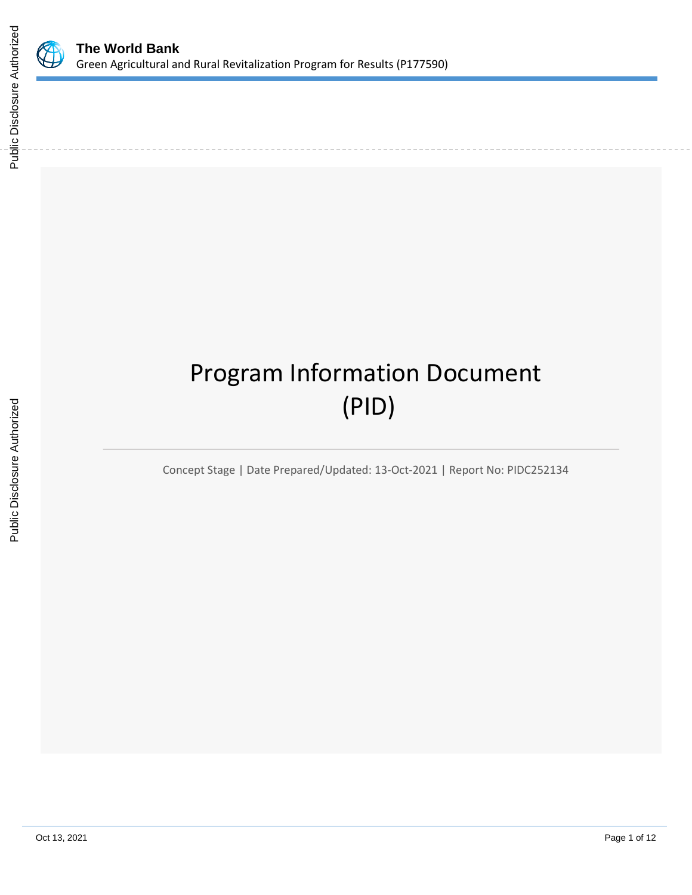

# Program Information Document (PID)

Concept Stage | Date Prepared/Updated: 13-Oct-2021 | Report No: PIDC252134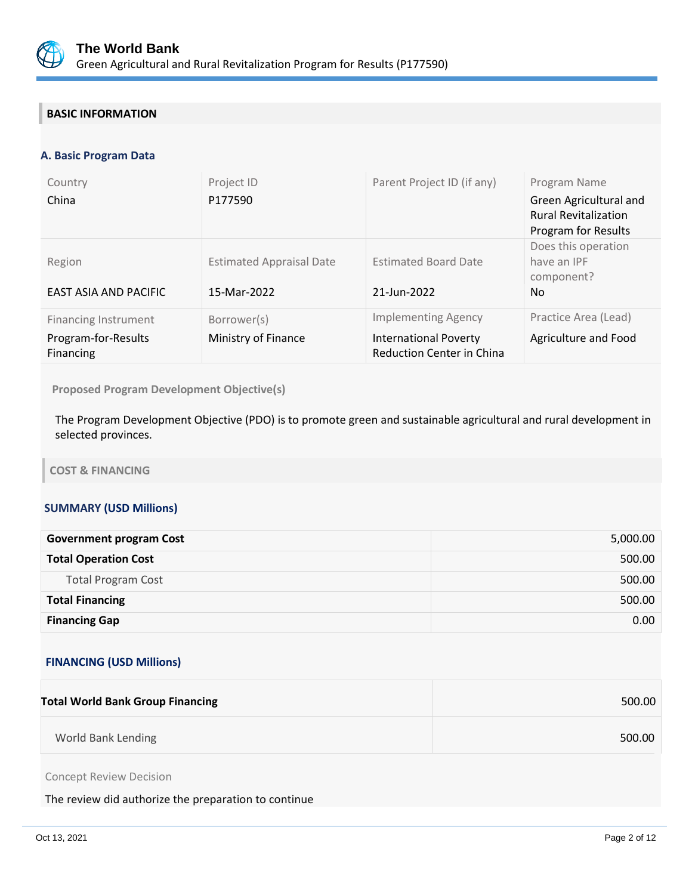

# **BASIC INFORMATION**

## **A. Basic Program Data**

| Country<br>China                                                       | Project ID<br>P177590                          | Parent Project ID (if any)                                                                     | Program Name<br>Green Agricultural and<br><b>Rural Revitalization</b><br>Program for Results |
|------------------------------------------------------------------------|------------------------------------------------|------------------------------------------------------------------------------------------------|----------------------------------------------------------------------------------------------|
| Region<br>EAST ASIA AND PACIFIC                                        | <b>Estimated Appraisal Date</b><br>15-Mar-2022 | <b>Estimated Board Date</b><br>21-Jun-2022                                                     | Does this operation<br>have an IPF<br>component?<br>No.                                      |
| <b>Financing Instrument</b><br>Program-for-Results<br><b>Financing</b> | Borrower(s)<br>Ministry of Finance             | <b>Implementing Agency</b><br><b>International Poverty</b><br><b>Reduction Center in China</b> | Practice Area (Lead)<br>Agriculture and Food                                                 |

**Proposed Program Development Objective(s)** 

The Program Development Objective (PDO) is to promote green and sustainable agricultural and rural development in selected provinces.

**COST & FINANCING**

## **SUMMARY (USD Millions)**

| <b>Government program Cost</b> | 5,000.00          |
|--------------------------------|-------------------|
| <b>Total Operation Cost</b>    | 500.00            |
| <b>Total Program Cost</b>      | 500.00            |
| <b>Total Financing</b>         | 500.00            |
| <b>Financing Gap</b>           | 0.00 <sub>1</sub> |

#### **FINANCING (USD Millions)**

| <b>Total World Bank Group Financing</b> | 500.00 |
|-----------------------------------------|--------|
| World Bank Lending                      | 500.00 |
|                                         |        |

Concept Review Decision

The review did authorize the preparation to continue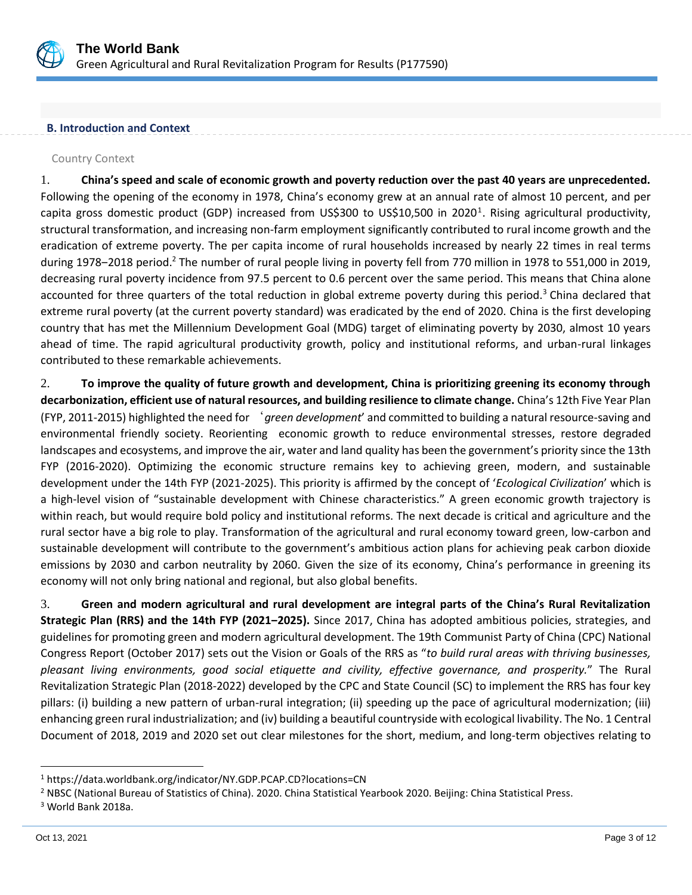

#### **B. Introduction and Context**

#### Country Context

1. **China's speed and scale of economic growth and poverty reduction over the past 40 years are unprecedented.**  Following the opening of the economy in 1978, China's economy grew at an annual rate of almost 10 percent, and per capita gross domestic product (GDP) increased from US\$300 to US\$10,500 in 2020<sup>1</sup>. Rising agricultural productivity, structural transformation, and increasing non-farm employment significantly contributed to rural income growth and the eradication of extreme poverty. The per capita income of rural households increased by nearly 22 times in real terms during 1978–2018 period.<sup>2</sup> The number of rural people living in poverty fell from 770 million in 1978 to 551,000 in 2019, decreasing rural poverty incidence from 97.5 percent to 0.6 percent over the same period. This means that China alone accounted for three quarters of the total reduction in global extreme poverty during this period.<sup>3</sup> China declared that extreme rural poverty (at the current poverty standard) was eradicated by the end of 2020. China is the first developing country that has met the Millennium Development Goal (MDG) target of eliminating poverty by 2030, almost 10 years ahead of time. The rapid agricultural productivity growth, policy and institutional reforms, and urban-rural linkages contributed to these remarkable achievements.

2. **To improve the quality of future growth and development, China is prioritizing greening its economy through decarbonization, efficient use of natural resources, and building resilience to climate change.** China's 12th Five Year Plan (FYP, 2011-2015) highlighted the need for '*green development*' and committed to building a natural resource-saving and environmental friendly society. Reorienting economic growth to reduce environmental stresses, restore degraded landscapes and ecosystems, and improve the air, water and land quality has been the government's priority since the 13th FYP (2016-2020). Optimizing the economic structure remains key to achieving green, modern, and sustainable development under the 14th FYP (2021-2025). This priority is affirmed by the concept of '*Ecological Civilization*' which is a high-level vision of "sustainable development with Chinese characteristics." A green economic growth trajectory is within reach, but would require bold policy and institutional reforms. The next decade is critical and agriculture and the rural sector have a big role to play. Transformation of the agricultural and rural economy toward green, low-carbon and sustainable development will contribute to the government's ambitious action plans for achieving peak carbon dioxide emissions by 2030 and carbon neutrality by 2060. Given the size of its economy, China's performance in greening its economy will not only bring national and regional, but also global benefits.

3. **Green and modern agricultural and rural development are integral parts of the China's Rural Revitalization Strategic Plan (RRS) and the 14th FYP (2021‒2025).** Since 2017, China has adopted ambitious policies, strategies, and guidelines for promoting green and modern agricultural development. The 19th Communist Party of China (CPC) National Congress Report (October 2017) sets out the Vision or Goals of the RRS as "*to build rural areas with thriving businesses, pleasant living environments, good social etiquette and civility, effective governance, and prosperity.*" The Rural Revitalization Strategic Plan (2018-2022) developed by the CPC and State Council (SC) to implement the RRS has four key pillars: (i) building a new pattern of urban-rural integration; (ii) speeding up the pace of agricultural modernization; (iii) enhancing green rural industrialization; and (iv) building a beautiful countryside with ecological livability. The No. 1 Central Document of 2018, 2019 and 2020 set out clear milestones for the short, medium, and long-term objectives relating to

<sup>1</sup> https://data.worldbank.org/indicator/NY.GDP.PCAP.CD?locations=CN

<sup>2</sup> NBSC (National Bureau of Statistics of China). 2020. China Statistical Yearbook 2020. Beijing: China Statistical Press.

<sup>3</sup> World Bank 2018a.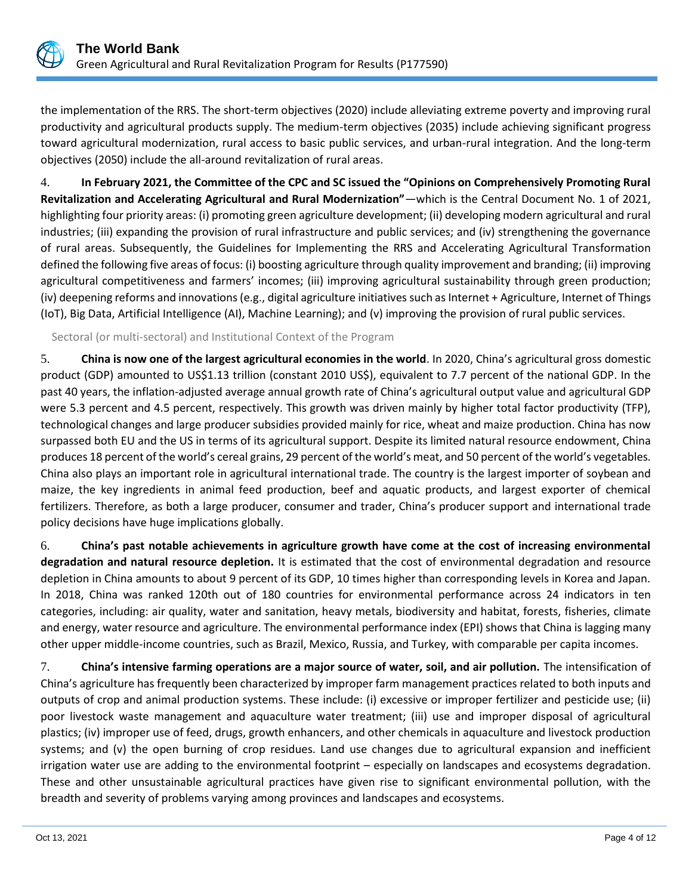

the implementation of the RRS. The short-term objectives (2020) include alleviating extreme poverty and improving rural productivity and agricultural products supply. The medium-term objectives (2035) include achieving significant progress toward agricultural modernization, rural access to basic public services, and urban-rural integration. And the long-term objectives (2050) include the all-around revitalization of rural areas.

4. **In February 2021, the Committee of the CPC and SC issued the "Opinions on Comprehensively Promoting Rural Revitalization and Accelerating Agricultural and Rural Modernization"**—which is the Central Document No. 1 of 2021, highlighting four priority areas: (i) promoting green agriculture development; (ii) developing modern agricultural and rural industries; (iii) expanding the provision of rural infrastructure and public services; and (iv) strengthening the governance of rural areas. Subsequently, the Guidelines for Implementing the RRS and Accelerating Agricultural Transformation defined the following five areas of focus: (i) boosting agriculture through quality improvement and branding; (ii) improving agricultural competitiveness and farmers' incomes; (iii) improving agricultural sustainability through green production; (iv) deepening reforms and innovations (e.g., digital agriculture initiatives such as Internet + Agriculture, Internet of Things (IoT), Big Data, Artificial Intelligence (AI), Machine Learning); and (v) improving the provision of rural public services.

Sectoral (or multi-sectoral) and Institutional Context of the Program

5. **China is now one of the largest agricultural economies in the world**. In 2020, China's agricultural gross domestic product (GDP) amounted to US\$1.13 trillion (constant 2010 US\$), equivalent to 7.7 percent of the national GDP. In the past 40 years, the inflation-adjusted average annual growth rate of China's agricultural output value and agricultural GDP were 5.3 percent and 4.5 percent, respectively. This growth was driven mainly by higher total factor productivity (TFP), technological changes and large producer subsidies provided mainly for rice, wheat and maize production. China has now surpassed both EU and the US in terms of its agricultural support. Despite its limited natural resource endowment, China produces 18 percent of the world's cereal grains, 29 percent of the world's meat, and 50 percent of the world's vegetables. China also plays an important role in agricultural international trade. The country is the largest importer of soybean and maize, the key ingredients in animal feed production, beef and aquatic products, and largest exporter of chemical fertilizers. Therefore, as both a large producer, consumer and trader, China's producer support and international trade policy decisions have huge implications globally.

6. **China's past notable achievements in agriculture growth have come at the cost of increasing environmental degradation and natural resource depletion.** It is estimated that the cost of environmental degradation and resource depletion in China amounts to about 9 percent of its GDP, 10 times higher than corresponding levels in Korea and Japan. In 2018, China was ranked 120th out of 180 countries for environmental performance across 24 indicators in ten categories, including: air quality, water and sanitation, heavy metals, biodiversity and habitat, forests, fisheries, climate and energy, water resource and agriculture. The environmental performance index (EPI) shows that China is lagging many other upper middle-income countries, such as Brazil, Mexico, Russia, and Turkey, with comparable per capita incomes.

7. **China's intensive farming operations are a major source of water, soil, and air pollution.** The intensification of China's agriculture has frequently been characterized by improper farm management practices related to both inputs and outputs of crop and animal production systems. These include: (i) excessive or improper fertilizer and pesticide use; (ii) poor livestock waste management and aquaculture water treatment; (iii) use and improper disposal of agricultural plastics; (iv) improper use of feed, drugs, growth enhancers, and other chemicals in aquaculture and livestock production systems; and (v) the open burning of crop residues. Land use changes due to agricultural expansion and inefficient irrigation water use are adding to the environmental footprint – especially on landscapes and ecosystems degradation. These and other unsustainable agricultural practices have given rise to significant environmental pollution, with the breadth and severity of problems varying among provinces and landscapes and ecosystems.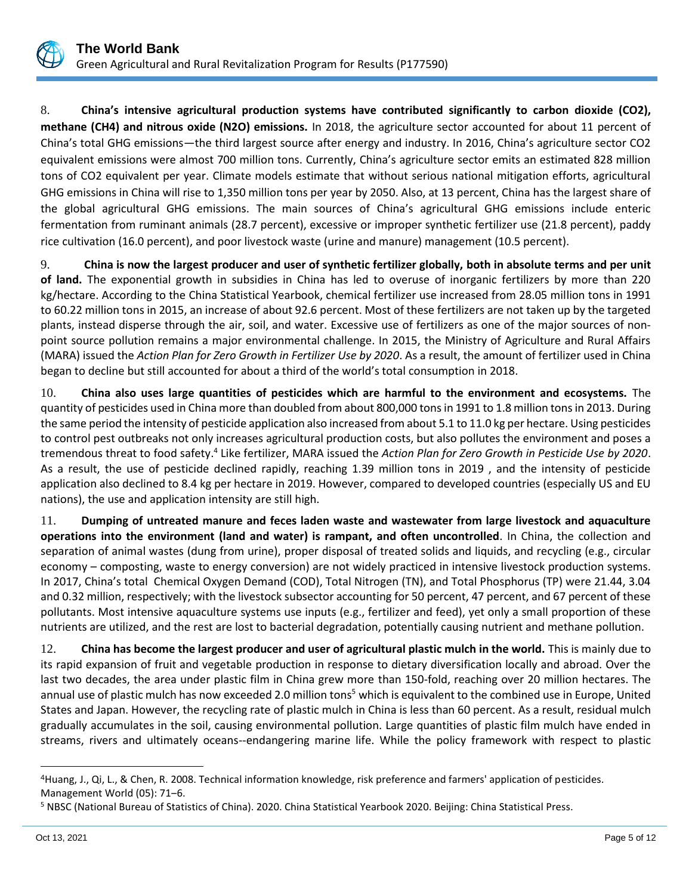

8. **China's intensive agricultural production systems have contributed significantly to carbon dioxide (CO2), methane (CH4) and nitrous oxide (N2O) emissions.** In 2018, the agriculture sector accounted for about 11 percent of China's total GHG emissions—the third largest source after energy and industry. In 2016, China's agriculture sector CO2 equivalent emissions were almost 700 million tons. Currently, China's agriculture sector emits an estimated 828 million tons of CO2 equivalent per year. Climate models estimate that without serious national mitigation efforts, agricultural GHG emissions in China will rise to 1,350 million tons per year by 2050. Also, at 13 percent, China has the largest share of the global agricultural GHG emissions. The main sources of China's agricultural GHG emissions include enteric fermentation from ruminant animals (28.7 percent), excessive or improper synthetic fertilizer use (21.8 percent), paddy rice cultivation (16.0 percent), and poor livestock waste (urine and manure) management (10.5 percent).

9. **China is now the largest producer and user of synthetic fertilizer globally, both in absolute terms and per unit of land.** The exponential growth in subsidies in China has led to overuse of inorganic fertilizers by more than 220 kg/hectare. According to the China Statistical Yearbook, chemical fertilizer use increased from 28.05 million tons in 1991 to 60.22 million tons in 2015, an increase of about 92.6 percent. Most of these fertilizers are not taken up by the targeted plants, instead disperse through the air, soil, and water. Excessive use of fertilizers as one of the major sources of nonpoint source pollution remains a major environmental challenge. In 2015, the Ministry of Agriculture and Rural Affairs (MARA) issued the *Action Plan for Zero Growth in Fertilizer Use by 2020*. As a result, the amount of fertilizer used in China began to decline but still accounted for about a third of the world's total consumption in 2018.

10. **China also uses large quantities of pesticides which are harmful to the environment and ecosystems.** The quantity of pesticides used in China more than doubled from about 800,000 tons in 1991 to 1.8 million tons in 2013. During the same period the intensity of pesticide application also increased from about 5.1 to 11.0 kg per hectare. Using pesticides to control pest outbreaks not only increases agricultural production costs, but also pollutes the environment and poses a tremendous threat to food safety.<sup>4</sup> Like fertilizer, MARA issued the Action Plan for Zero Growth in Pesticide Use by 2020. As a result, the use of pesticide declined rapidly, reaching 1.39 million tons in 2019 , and the intensity of pesticide application also declined to 8.4 kg per hectare in 2019. However, compared to developed countries (especially US and EU nations), the use and application intensity are still high.

11. **Dumping of untreated manure and feces laden waste and wastewater from large livestock and aquaculture operations into the environment (land and water) is rampant, and often uncontrolled**. In China, the collection and separation of animal wastes (dung from urine), proper disposal of treated solids and liquids, and recycling (e.g., circular economy – composting, waste to energy conversion) are not widely practiced in intensive livestock production systems. In 2017, China's total Chemical Oxygen Demand (COD), Total Nitrogen (TN), and Total Phosphorus (TP) were 21.44, 3.04 and 0.32 million, respectively; with the livestock subsector accounting for 50 percent, 47 percent, and 67 percent of these pollutants. Most intensive aquaculture systems use inputs (e.g., fertilizer and feed), yet only a small proportion of these nutrients are utilized, and the rest are lost to bacterial degradation, potentially causing nutrient and methane pollution.

12. **China has become the largest producer and user of agricultural plastic mulch in the world.** This is mainly due to its rapid expansion of fruit and vegetable production in response to dietary diversification locally and abroad. Over the last two decades, the area under plastic film in China grew more than 150-fold, reaching over 20 million hectares. The annual use of plastic mulch has now exceeded 2.0 million tons<sup>5</sup> which is equivalent to the combined use in Europe, United States and Japan. However, the recycling rate of plastic mulch in China is less than 60 percent. As a result, residual mulch gradually accumulates in the soil, causing environmental pollution. Large quantities of plastic film mulch have ended in streams, rivers and ultimately oceans--endangering marine life. While the policy framework with respect to plastic

<sup>4</sup>Huang, J., Qi, L., & Chen, R. 2008. Technical information knowledge, risk preference and farmers' application of pesticides. Management World (05): 71‒6.

<sup>5</sup> NBSC (National Bureau of Statistics of China). 2020. China Statistical Yearbook 2020. Beijing: China Statistical Press.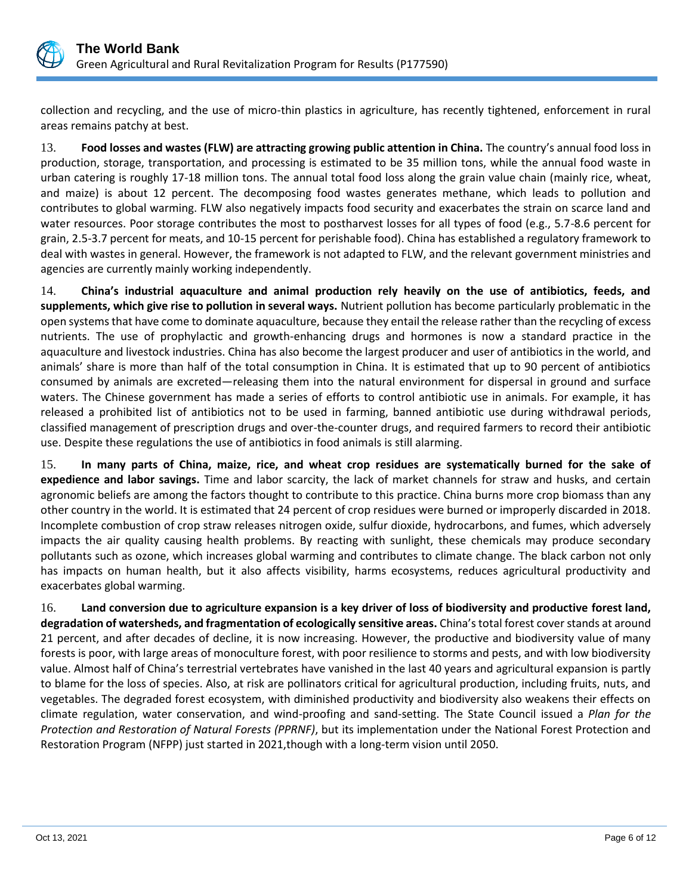

collection and recycling, and the use of micro-thin plastics in agriculture, has recently tightened, enforcement in rural areas remains patchy at best.

13. **Food losses and wastes (FLW) are attracting growing public attention in China.** The country's annual food loss in production, storage, transportation, and processing is estimated to be 35 million tons, while the annual food waste in urban catering is roughly 17-18 million tons. The annual total food loss along the grain value chain (mainly rice, wheat, and maize) is about 12 percent. The decomposing food wastes generates methane, which leads to pollution and contributes to global warming. FLW also negatively impacts food security and exacerbates the strain on scarce land and water resources. Poor storage contributes the most to postharvest losses for all types of food (e.g., 5.7-8.6 percent for grain, 2.5-3.7 percent for meats, and 10-15 percent for perishable food). China has established a regulatory framework to deal with wastes in general. However, the framework is not adapted to FLW, and the relevant government ministries and agencies are currently mainly working independently.

14. **China's industrial aquaculture and animal production rely heavily on the use of antibiotics, feeds, and supplements, which give rise to pollution in several ways.** Nutrient pollution has become particularly problematic in the open systems that have come to dominate aquaculture, because they entail the release rather than the recycling of excess nutrients. The use of prophylactic and growth-enhancing drugs and hormones is now a standard practice in the aquaculture and livestock industries. China has also become the largest producer and user of antibiotics in the world, and animals' share is more than half of the total consumption in China. It is estimated that up to 90 percent of antibiotics consumed by animals are excreted—releasing them into the natural environment for dispersal in ground and surface waters. The Chinese government has made a series of efforts to control antibiotic use in animals. For example, it has released a prohibited list of antibiotics not to be used in farming, banned antibiotic use during withdrawal periods, classified management of prescription drugs and over-the-counter drugs, and required farmers to record their antibiotic use. Despite these regulations the use of antibiotics in food animals is still alarming.

15. **In many parts of China, maize, rice, and wheat crop residues are systematically burned for the sake of expedience and labor savings.** Time and labor scarcity, the lack of market channels for straw and husks, and certain agronomic beliefs are among the factors thought to contribute to this practice. China burns more crop biomass than any other country in the world. It is estimated that 24 percent of crop residues were burned or improperly discarded in 2018. Incomplete combustion of crop straw releases nitrogen oxide, sulfur dioxide, hydrocarbons, and fumes, which adversely impacts the air quality causing health problems. By reacting with sunlight, these chemicals may produce secondary pollutants such as ozone, which increases global warming and contributes to climate change. The black carbon not only has impacts on human health, but it also affects visibility, harms ecosystems, reduces agricultural productivity and exacerbates global warming.

16. **Land conversion due to agriculture expansion is a key driver of loss of biodiversity and productive forest land, degradation of watersheds, and fragmentation of ecologically sensitive areas.** China's total forest cover stands at around 21 percent, and after decades of decline, it is now increasing. However, the productive and biodiversity value of many forests is poor, with large areas of monoculture forest, with poor resilience to storms and pests, and with low biodiversity value. Almost half of China's terrestrial vertebrates have vanished in the last 40 years and agricultural expansion is partly to blame for the loss of species. Also, at risk are pollinators critical for agricultural production, including fruits, nuts, and vegetables. The degraded forest ecosystem, with diminished productivity and biodiversity also weakens their effects on climate regulation, water conservation, and wind-proofing and sand-setting. The State Council issued a *Plan for the Protection and Restoration of Natural Forests (PPRNF)*, but its implementation under the National Forest Protection and Restoration Program (NFPP) just started in 2021,though with a long-term vision until 2050.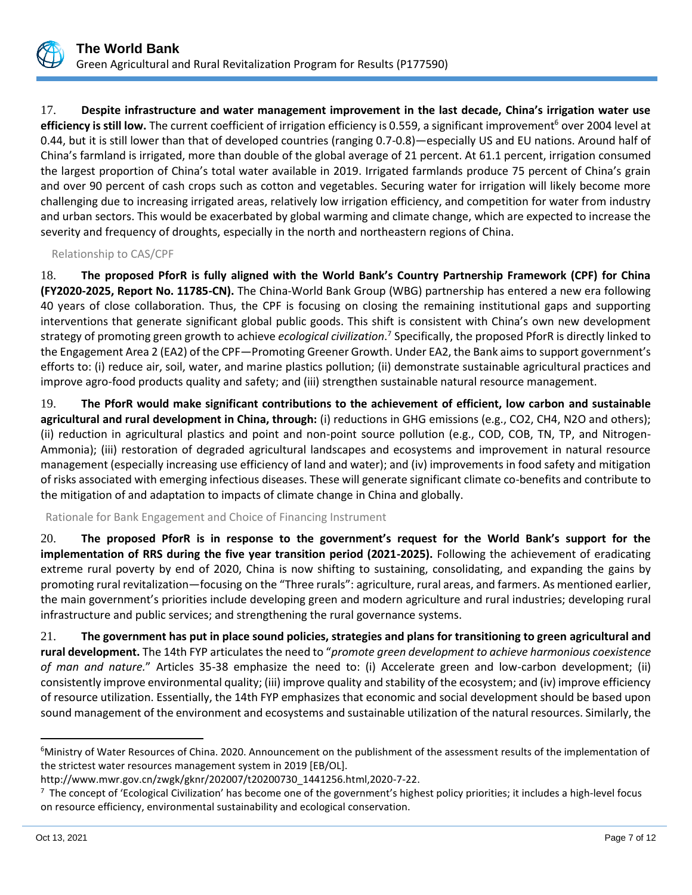

17. **Despite infrastructure and water management improvement in the last decade, China's irrigation water use efficiency is still low.** The current coefficient of irrigation efficiency is 0.559, a significant improvement<sup>6</sup> over 2004 level at 0.44, but it is still lower than that of developed countries (ranging 0.7-0.8)—especially US and EU nations. Around half of China's farmland is irrigated, more than double of the global average of 21 percent. At 61.1 percent, irrigation consumed the largest proportion of China's total water available in 2019. Irrigated farmlands produce 75 percent of China's grain and over 90 percent of cash crops such as cotton and vegetables. Securing water for irrigation will likely become more challenging due to increasing irrigated areas, relatively low irrigation efficiency, and competition for water from industry and urban sectors. This would be exacerbated by global warming and climate change, which are expected to increase the severity and frequency of droughts, especially in the north and northeastern regions of China.

Relationship to CAS/CPF

18. **The proposed PforR is fully aligned with the World Bank's Country Partnership Framework (CPF) for China (FY2020-2025, Report No. 11785-CN).** The China-World Bank Group (WBG) partnership has entered a new era following 40 years of close collaboration. Thus, the CPF is focusing on closing the remaining institutional gaps and supporting interventions that generate significant global public goods. This shift is consistent with China's own new development strategy of promoting green growth to achieve *ecological civilization*. 7 Specifically, the proposed PforR is directly linked to the Engagement Area 2 (EA2) of the CPF—Promoting Greener Growth. Under EA2, the Bank aims to support government's efforts to: (i) reduce air, soil, water, and marine plastics pollution; (ii) demonstrate sustainable agricultural practices and improve agro-food products quality and safety; and (iii) strengthen sustainable natural resource management.

19. **The PforR would make significant contributions to the achievement of efficient, low carbon and sustainable agricultural and rural development in China, through:** (i) reductions in GHG emissions (e.g., CO2, CH4, N2O and others); (ii) reduction in agricultural plastics and point and non-point source pollution (e.g., COD, COB, TN, TP, and Nitrogen-Ammonia); (iii) restoration of degraded agricultural landscapes and ecosystems and improvement in natural resource management (especially increasing use efficiency of land and water); and (iv) improvements in food safety and mitigation of risks associated with emerging infectious diseases. These will generate significant climate co-benefits and contribute to the mitigation of and adaptation to impacts of climate change in China and globally.

Rationale for Bank Engagement and Choice of Financing Instrument

20. **The proposed PforR is in response to the government's request for the World Bank's support for the implementation of RRS during the five year transition period (2021-2025).** Following the achievement of eradicating extreme rural poverty by end of 2020, China is now shifting to sustaining, consolidating, and expanding the gains by promoting rural revitalization—focusing on the "Three rurals": agriculture, rural areas, and farmers. As mentioned earlier, the main government's priorities include developing green and modern agriculture and rural industries; developing rural infrastructure and public services; and strengthening the rural governance systems.

21. **The government has put in place sound policies, strategies and plans for transitioning to green agricultural and rural development.** The 14th FYP articulates the need to "*promote green development to achieve harmonious coexistence of man and nature.*" Articles 35-38 emphasize the need to: (i) Accelerate green and low-carbon development; (ii) consistently improve environmental quality; (iii) improve quality and stability of the ecosystem; and (iv) improve efficiency of resource utilization. Essentially, the 14th FYP emphasizes that economic and social development should be based upon sound management of the environment and ecosystems and sustainable utilization of the natural resources. Similarly, the

<sup>6</sup>Ministry of Water Resources of China. 2020. Announcement on the publishment of the assessment results of the implementation of the strictest water resources management system in 2019 [EB/OL].

http://www.mwr.gov.cn/zwgk/gknr/202007/t20200730\_1441256.html,2020-7-22.

 $^7$  The concept of 'Ecological Civilization' has become one of the government's highest policy priorities; it includes a high-level focus on resource efficiency, environmental sustainability and ecological conservation.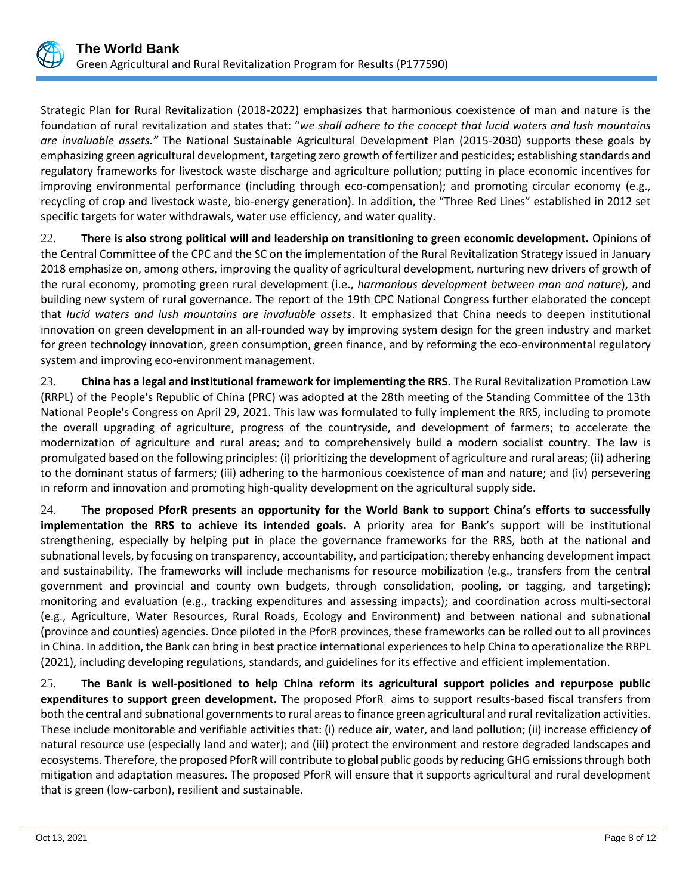

Strategic Plan for Rural Revitalization (2018-2022) emphasizes that harmonious coexistence of man and nature is the foundation of rural revitalization and states that: "*we shall adhere to the concept that lucid waters and lush mountains are invaluable assets."* The National Sustainable Agricultural Development Plan (2015-2030) supports these goals by emphasizing green agricultural development, targeting zero growth of fertilizer and pesticides; establishing standards and regulatory frameworks for livestock waste discharge and agriculture pollution; putting in place economic incentives for improving environmental performance (including through eco-compensation); and promoting circular economy (e.g., recycling of crop and livestock waste, bio-energy generation). In addition, the "Three Red Lines" established in 2012 set specific targets for water withdrawals, water use efficiency, and water quality.

22. **There is also strong political will and leadership on transitioning to green economic development.** Opinions of the Central Committee of the CPC and the SC on the implementation of the Rural Revitalization Strategy issued in January 2018 emphasize on, among others, improving the quality of agricultural development, nurturing new drivers of growth of the rural economy, promoting green rural development (i.e., *harmonious development between man and nature*), and building new system of rural governance. The report of the 19th CPC National Congress further elaborated the concept that *lucid waters and lush mountains are invaluable assets*. It emphasized that China needs to deepen institutional innovation on green development in an all-rounded way by improving system design for the green industry and market for green technology innovation, green consumption, green finance, and by reforming the eco-environmental regulatory system and improving eco-environment management.

23. **China has a legal and institutional framework for implementing the RRS.** The Rural Revitalization Promotion Law (RRPL) of the People's Republic of China (PRC) was adopted at the 28th meeting of the Standing Committee of the 13th National People's Congress on April 29, 2021. This law was formulated to fully implement the RRS, including to promote the overall upgrading of agriculture, progress of the countryside, and development of farmers; to accelerate the modernization of agriculture and rural areas; and to comprehensively build a modern socialist country. The law is promulgated based on the following principles: (i) prioritizing the development of agriculture and rural areas; (ii) adhering to the dominant status of farmers; (iii) adhering to the harmonious coexistence of man and nature; and (iv) persevering in reform and innovation and promoting high-quality development on the agricultural supply side.

24. **The proposed PforR presents an opportunity for the World Bank to support China's efforts to successfully implementation the RRS to achieve its intended goals***.* A priority area for Bank's support will be institutional strengthening, especially by helping put in place the governance frameworks for the RRS, both at the national and subnational levels, by focusing on transparency, accountability, and participation; thereby enhancing development impact and sustainability. The frameworks will include mechanisms for resource mobilization (e.g., transfers from the central government and provincial and county own budgets, through consolidation, pooling, or tagging, and targeting); monitoring and evaluation (e.g., tracking expenditures and assessing impacts); and coordination across multi-sectoral (e.g., Agriculture, Water Resources, Rural Roads, Ecology and Environment) and between national and subnational (province and counties) agencies. Once piloted in the PforR provinces, these frameworks can be rolled out to all provinces in China. In addition, the Bank can bring in best practice international experiences to help China to operationalize the RRPL (2021), including developing regulations, standards, and guidelines for its effective and efficient implementation.

25. **The Bank is well-positioned to help China reform its agricultural support policies and repurpose public expenditures to support green development.** The proposed PforR aims to support results-based fiscal transfers from both the central and subnational governments to rural areas to finance green agricultural and rural revitalization activities. These include monitorable and verifiable activities that: (i) reduce air, water, and land pollution; (ii) increase efficiency of natural resource use (especially land and water); and (iii) protect the environment and restore degraded landscapes and ecosystems. Therefore, the proposed PforR will contribute to global public goods by reducing GHG emissions through both mitigation and adaptation measures. The proposed PforR will ensure that it supports agricultural and rural development that is green (low-carbon), resilient and sustainable.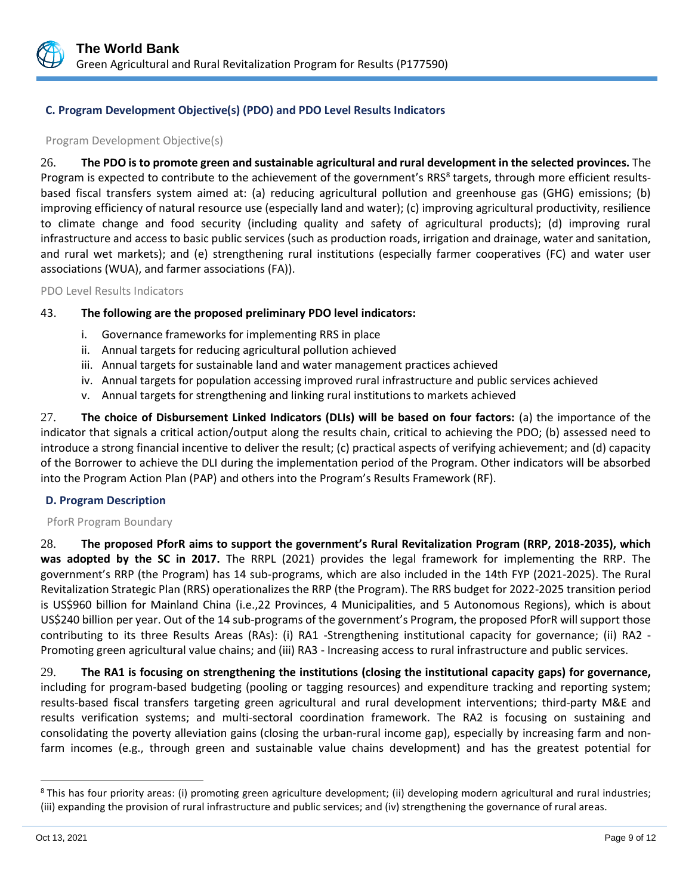

# **C. Program Development Objective(s) (PDO) and PDO Level Results Indicators**

#### Program Development Objective(s)

26. **The PDO is to promote green and sustainable agricultural and rural development in the selected provinces.** The Program is expected to contribute to the achievement of the government's RRS<sup>8</sup> targets, through more efficient resultsbased fiscal transfers system aimed at: (a) reducing agricultural pollution and greenhouse gas (GHG) emissions; (b) improving efficiency of natural resource use (especially land and water); (c) improving agricultural productivity, resilience to climate change and food security (including quality and safety of agricultural products); (d) improving rural infrastructure and access to basic public services (such as production roads, irrigation and drainage, water and sanitation, and rural wet markets); and (e) strengthening rural institutions (especially farmer cooperatives (FC) and water user associations (WUA), and farmer associations (FA)).

PDO Level Results Indicators

## 43. **The following are the proposed preliminary PDO level indicators:**

- i. Governance frameworks for implementing RRS in place
- ii. Annual targets for reducing agricultural pollution achieved
- iii. Annual targets for sustainable land and water management practices achieved
- iv. Annual targets for population accessing improved rural infrastructure and public services achieved
- v. Annual targets for strengthening and linking rural institutions to markets achieved

27. **The choice of Disbursement Linked Indicators (DLIs) will be based on four factors:** (a) the importance of the indicator that signals a critical action/output along the results chain, critical to achieving the PDO; (b) assessed need to introduce a strong financial incentive to deliver the result; (c) practical aspects of verifying achievement; and (d) capacity of the Borrower to achieve the DLI during the implementation period of the Program. Other indicators will be absorbed into the Program Action Plan (PAP) and others into the Program's Results Framework (RF).

## **D. Program Description**

#### PforR Program Boundary

28. **The proposed PforR aims to support the government's Rural Revitalization Program (RRP, 2018-2035), which was adopted by the SC in 2017.** The RRPL (2021) provides the legal framework for implementing the RRP. The government's RRP (the Program) has 14 sub-programs, which are also included in the 14th FYP (2021-2025). The Rural Revitalization Strategic Plan (RRS) operationalizes the RRP (the Program). The RRS budget for 2022-2025 transition period is US\$960 billion for Mainland China (i.e.,22 Provinces, 4 Municipalities, and 5 Autonomous Regions), which is about US\$240 billion per year. Out of the 14 sub-programs of the government's Program, the proposed PforR will support those contributing to its three Results Areas (RAs): (i) RA1 -Strengthening institutional capacity for governance; (ii) RA2 - Promoting green agricultural value chains; and (iii) RA3 - Increasing access to rural infrastructure and public services.

29. **The RA1 is focusing on strengthening the institutions (closing the institutional capacity gaps) for governance,** including for program-based budgeting (pooling or tagging resources) and expenditure tracking and reporting system; results-based fiscal transfers targeting green agricultural and rural development interventions; third-party M&E and results verification systems; and multi-sectoral coordination framework. The RA2 is focusing on sustaining and consolidating the poverty alleviation gains (closing the urban-rural income gap), especially by increasing farm and nonfarm incomes (e.g., through green and sustainable value chains development) and has the greatest potential for

 $8$  This has four priority areas: (i) promoting green agriculture development; (ii) developing modern agricultural and rural industries; (iii) expanding the provision of rural infrastructure and public services; and (iv) strengthening the governance of rural areas.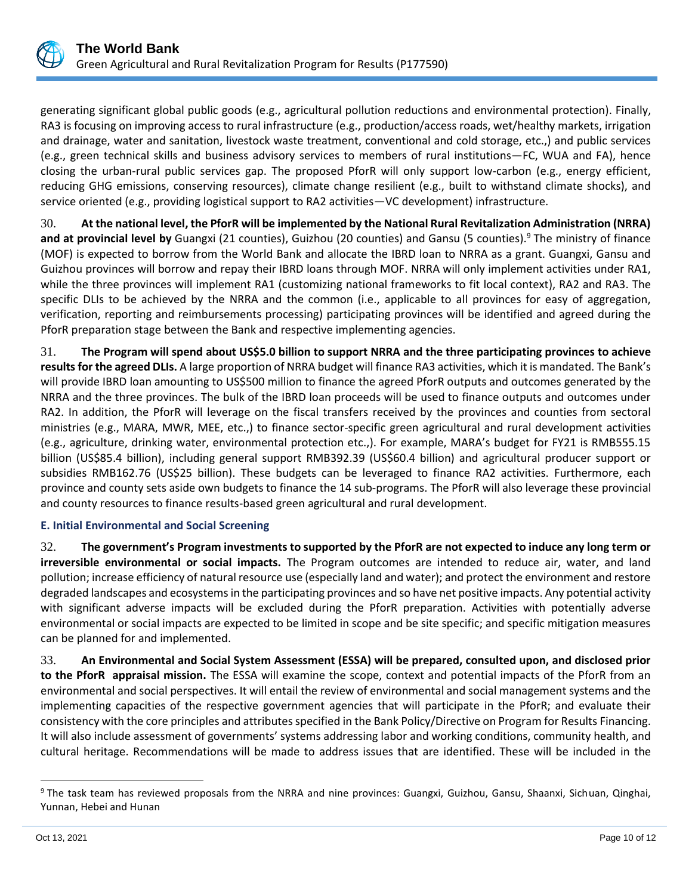

generating significant global public goods (e.g., agricultural pollution reductions and environmental protection). Finally, RA3 is focusing on improving access to rural infrastructure (e.g., production/access roads, wet/healthy markets, irrigation and drainage, water and sanitation, livestock waste treatment, conventional and cold storage, etc.,) and public services (e.g., green technical skills and business advisory services to members of rural institutions—FC, WUA and FA), hence closing the urban-rural public services gap. The proposed PforR will only support low-carbon (e.g., energy efficient, reducing GHG emissions, conserving resources), climate change resilient (e.g., built to withstand climate shocks), and service oriented (e.g., providing logistical support to RA2 activities—VC development) infrastructure.

30. **At the national level, the PforR will be implemented by the National Rural Revitalization Administration (NRRA) and at provincial level by** Guangxi (21 counties), Guizhou (20 counties) and Gansu (5 counties).<sup>9</sup> The ministry of finance (MOF) is expected to borrow from the World Bank and allocate the IBRD loan to NRRA as a grant. Guangxi, Gansu and Guizhou provinces will borrow and repay their IBRD loans through MOF. NRRA will only implement activities under RA1, while the three provinces will implement RA1 (customizing national frameworks to fit local context), RA2 and RA3. The specific DLIs to be achieved by the NRRA and the common (i.e., applicable to all provinces for easy of aggregation, verification, reporting and reimbursements processing) participating provinces will be identified and agreed during the PforR preparation stage between the Bank and respective implementing agencies.

31. **The Program will spend about US\$5.0 billion to support NRRA and the three participating provinces to achieve results for the agreed DLIs.** A large proportion of NRRA budget will finance RA3 activities, which it is mandated. The Bank's will provide IBRD loan amounting to US\$500 million to finance the agreed PforR outputs and outcomes generated by the NRRA and the three provinces. The bulk of the IBRD loan proceeds will be used to finance outputs and outcomes under RA2. In addition, the PforR will leverage on the fiscal transfers received by the provinces and counties from sectoral ministries (e.g., MARA, MWR, MEE, etc.,) to finance sector-specific green agricultural and rural development activities (e.g., agriculture, drinking water, environmental protection etc.,). For example, MARA's budget for FY21 is RMB555.15 billion (US\$85.4 billion), including general support RMB392.39 (US\$60.4 billion) and agricultural producer support or subsidies RMB162.76 (US\$25 billion). These budgets can be leveraged to finance RA2 activities. Furthermore, each province and county sets aside own budgets to finance the 14 sub-programs. The PforR will also leverage these provincial and county resources to finance results-based green agricultural and rural development.

# **E. Initial Environmental and Social Screening**

32. **The government's Program investments to supported by the PforR are not expected to induce any long term or irreversible environmental or social impacts.** The Program outcomes are intended to reduce air, water, and land pollution; increase efficiency of natural resource use (especially land and water); and protect the environment and restore degraded landscapes and ecosystems in the participating provinces and so have net positive impacts. Any potential activity with significant adverse impacts will be excluded during the PforR preparation. Activities with potentially adverse environmental or social impacts are expected to be limited in scope and be site specific; and specific mitigation measures can be planned for and implemented.

33. **An Environmental and Social System Assessment (ESSA) will be prepared, consulted upon, and disclosed prior to the PforR appraisal mission.** The ESSA will examine the scope, context and potential impacts of the PforR from an environmental and social perspectives. It will entail the review of environmental and social management systems and the implementing capacities of the respective government agencies that will participate in the PforR; and evaluate their consistency with the core principles and attributes specified in the Bank Policy/Directive on Program for Results Financing. It will also include assessment of governments' systems addressing labor and working conditions, community health, and cultural heritage. Recommendations will be made to address issues that are identified. These will be included in the

<sup>&</sup>lt;sup>9</sup> The task team has reviewed proposals from the NRRA and nine provinces: Guangxi, Guizhou, Gansu, Shaanxi, Sichuan, Qinghai, Yunnan, Hebei and Hunan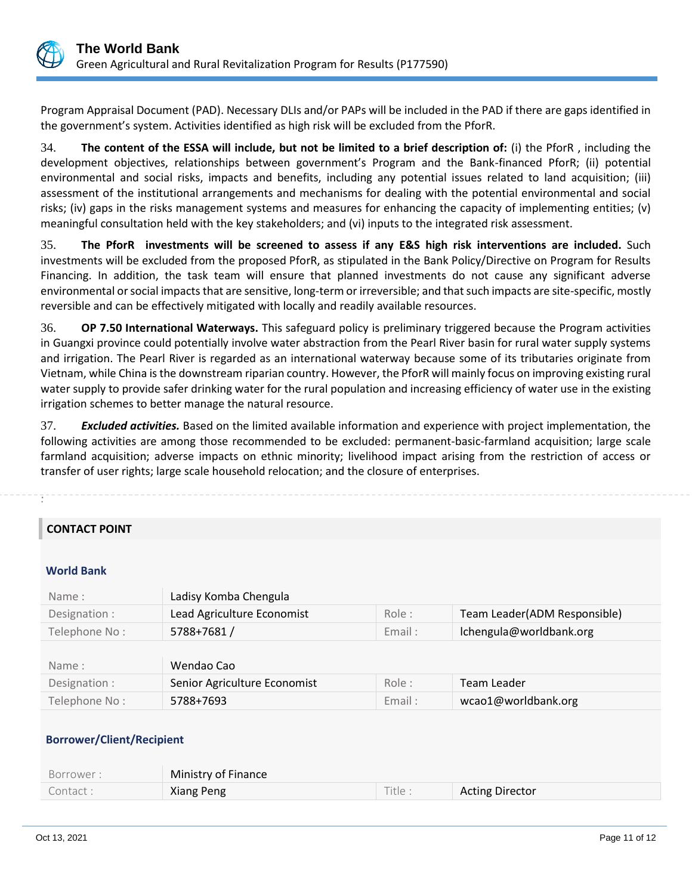

Program Appraisal Document (PAD). Necessary DLIs and/or PAPs will be included in the PAD if there are gaps identified in the government's system. Activities identified as high risk will be excluded from the PforR.

34. **The content of the ESSA will include, but not be limited to a brief description of:** (i) the PforR , including the development objectives, relationships between government's Program and the Bank-financed PforR; (ii) potential environmental and social risks, impacts and benefits, including any potential issues related to land acquisition; (iii) assessment of the institutional arrangements and mechanisms for dealing with the potential environmental and social risks; (iv) gaps in the risks management systems and measures for enhancing the capacity of implementing entities; (v) meaningful consultation held with the key stakeholders; and (vi) inputs to the integrated risk assessment.

35. **The PforR investments will be screened to assess if any E&S high risk interventions are included.** Such investments will be excluded from the proposed PforR, as stipulated in the Bank Policy/Directive on Program for Results Financing. In addition, the task team will ensure that planned investments do not cause any significant adverse environmental or social impacts that are sensitive, long-term or irreversible; and that such impacts are site-specific, mostly reversible and can be effectively mitigated with locally and readily available resources.

36. **OP 7.50 International Waterways.** This safeguard policy is preliminary triggered because the Program activities in Guangxi province could potentially involve water abstraction from the Pearl River basin for rural water supply systems and irrigation. The Pearl River is regarded as an international waterway because some of its tributaries originate from Vietnam, while China is the downstream riparian country. However, the PforR will mainly focus on improving existing rural water supply to provide safer drinking water for the rural population and increasing efficiency of water use in the existing irrigation schemes to better manage the natural resource.

37. *Excluded activities.* Based on the limited available information and experience with project implementation, the following activities are among those recommended to be excluded: permanent-basic-farmland acquisition; large scale farmland acquisition; adverse impacts on ethnic minority; livelihood impact arising from the restriction of access or transfer of user rights; large scale household relocation; and the closure of enterprises.

# **CONTACT POINT**

#### **World Bank**

. .

| Name:         | Ladisy Komba Chengula        |        |                              |
|---------------|------------------------------|--------|------------------------------|
| Designation : | Lead Agriculture Economist   | Role:  | Team Leader(ADM Responsible) |
| Telephone No: | 5788+7681 /                  | Email: | Ichengula@worldbank.org      |
|               |                              |        |                              |
| Name:         |                              |        |                              |
|               | Wendao Cao                   |        |                              |
| Designation : | Senior Agriculture Economist | Role:  | Team Leader                  |
| Telephone No: | 5788+7693                    | Email: | wcao1@worldbank.org          |

# **Borrower/Client/Recipient**

| Borrower : | Ministry of Finance |        |                        |
|------------|---------------------|--------|------------------------|
| Contact:   | <b>Xiang Peng</b>   | Title. | <b>Acting Director</b> |